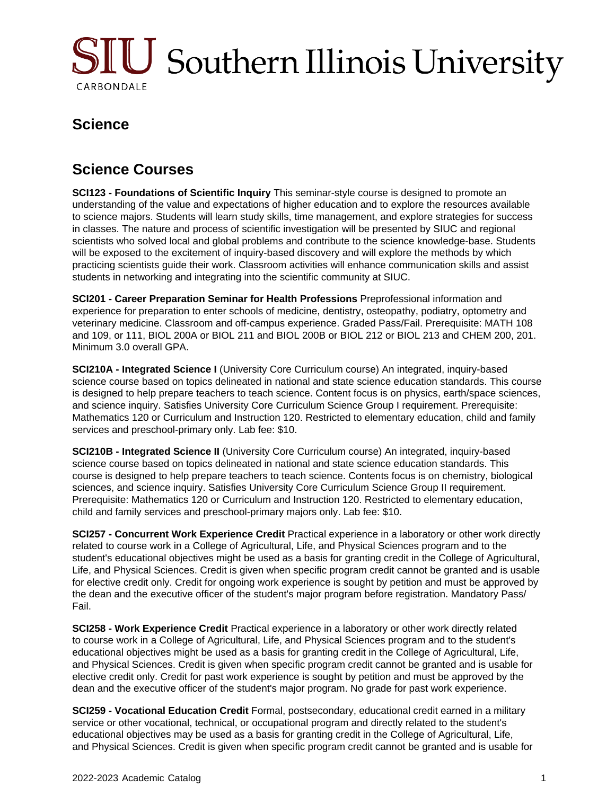

## **Science**

## **Science Courses**

**SCI123 - Foundations of Scientific Inquiry** This seminar-style course is designed to promote an understanding of the value and expectations of higher education and to explore the resources available to science majors. Students will learn study skills, time management, and explore strategies for success in classes. The nature and process of scientific investigation will be presented by SIUC and regional scientists who solved local and global problems and contribute to the science knowledge-base. Students will be exposed to the excitement of inquiry-based discovery and will explore the methods by which practicing scientists guide their work. Classroom activities will enhance communication skills and assist students in networking and integrating into the scientific community at SIUC.

**SCI201 - Career Preparation Seminar for Health Professions** Preprofessional information and experience for preparation to enter schools of medicine, dentistry, osteopathy, podiatry, optometry and veterinary medicine. Classroom and off-campus experience. Graded Pass/Fail. Prerequisite: MATH 108 and 109, or 111, BIOL 200A or BIOL 211 and BIOL 200B or BIOL 212 or BIOL 213 and CHEM 200, 201. Minimum 3.0 overall GPA.

**SCI210A - Integrated Science I** (University Core Curriculum course) An integrated, inquiry-based science course based on topics delineated in national and state science education standards. This course is designed to help prepare teachers to teach science. Content focus is on physics, earth/space sciences, and science inquiry. Satisfies University Core Curriculum Science Group I requirement. Prerequisite: Mathematics 120 or Curriculum and Instruction 120. Restricted to elementary education, child and family services and preschool-primary only. Lab fee: \$10.

**SCI210B - Integrated Science II** (University Core Curriculum course) An integrated, inquiry-based science course based on topics delineated in national and state science education standards. This course is designed to help prepare teachers to teach science. Contents focus is on chemistry, biological sciences, and science inquiry. Satisfies University Core Curriculum Science Group II requirement. Prerequisite: Mathematics 120 or Curriculum and Instruction 120. Restricted to elementary education, child and family services and preschool-primary majors only. Lab fee: \$10.

**SCI257 - Concurrent Work Experience Credit** Practical experience in a laboratory or other work directly related to course work in a College of Agricultural, Life, and Physical Sciences program and to the student's educational objectives might be used as a basis for granting credit in the College of Agricultural, Life, and Physical Sciences. Credit is given when specific program credit cannot be granted and is usable for elective credit only. Credit for ongoing work experience is sought by petition and must be approved by the dean and the executive officer of the student's major program before registration. Mandatory Pass/ Fail.

**SCI258 - Work Experience Credit** Practical experience in a laboratory or other work directly related to course work in a College of Agricultural, Life, and Physical Sciences program and to the student's educational objectives might be used as a basis for granting credit in the College of Agricultural, Life, and Physical Sciences. Credit is given when specific program credit cannot be granted and is usable for elective credit only. Credit for past work experience is sought by petition and must be approved by the dean and the executive officer of the student's major program. No grade for past work experience.

**SCI259 - Vocational Education Credit** Formal, postsecondary, educational credit earned in a military service or other vocational, technical, or occupational program and directly related to the student's educational objectives may be used as a basis for granting credit in the College of Agricultural, Life, and Physical Sciences. Credit is given when specific program credit cannot be granted and is usable for